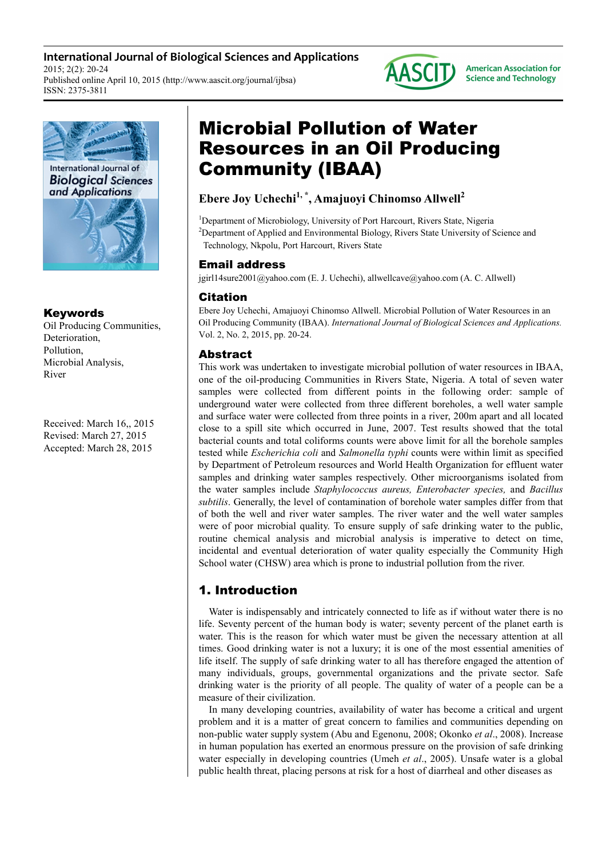**International Journal of Biological Sciences and Applications** 2015; 2(2): 20-24 Published online April 10, 2015 (http://www.aascit.org/journal/ijbsa) ISSN: 2375-3811



## Keywords

Oil Producing Communities, Deterioration, Pollution, Microbial Analysis, River

Received: March 16,, 2015 Revised: March 27, 2015 Accepted: March 28, 2015

# Microbial Pollution of Water Resources in an Oil Producing Community (IBAA)

## **Ebere Joy Uchechi1, \*, Amajuoyi Chinomso Allwell<sup>2</sup>**

<sup>1</sup>Department of Microbiology, University of Port Harcourt, Rivers State, Nigeria <sup>2</sup>Department of Applied and Environmental Biology, Rivers State University of Science and Technology, Nkpolu, Port Harcourt, Rivers State

**AASCITJ** 

**American Association for Science and Technology** 

## Email address

jgirl14sure2001@yahoo.com (E. J. Uchechi), allwellcave@yahoo.com (A. C. Allwell)

## Citation

Ebere Joy Uchechi, Amajuoyi Chinomso Allwell. Microbial Pollution of Water Resources in an Oil Producing Community (IBAA). *International Journal of Biological Sciences and Applications.* Vol. 2, No. 2, 2015, pp. 20-24.

## Abstract

This work was undertaken to investigate microbial pollution of water resources in IBAA, one of the oil-producing Communities in Rivers State, Nigeria. A total of seven water samples were collected from different points in the following order: sample of underground water were collected from three different boreholes, a well water sample and surface water were collected from three points in a river, 200m apart and all located close to a spill site which occurred in June, 2007. Test results showed that the total bacterial counts and total coliforms counts were above limit for all the borehole samples tested while *Escherichia coli* and *Salmonella typhi* counts were within limit as specified by Department of Petroleum resources and World Health Organization for effluent water samples and drinking water samples respectively. Other microorganisms isolated from the water samples include *Staphylococcus aureus, Enterobacter species,* and *Bacillus subtilis*. Generally, the level of contamination of borehole water samples differ from that of both the well and river water samples. The river water and the well water samples were of poor microbial quality. To ensure supply of safe drinking water to the public, routine chemical analysis and microbial analysis is imperative to detect on time, incidental and eventual deterioration of water quality especially the Community High School water (CHSW) area which is prone to industrial pollution from the river.

## 1. Introduction

Water is indispensably and intricately connected to life as if without water there is no life. Seventy percent of the human body is water; seventy percent of the planet earth is water. This is the reason for which water must be given the necessary attention at all times. Good drinking water is not a luxury; it is one of the most essential amenities of life itself. The supply of safe drinking water to all has therefore engaged the attention of many individuals, groups, governmental organizations and the private sector. Safe drinking water is the priority of all people. The quality of water of a people can be a measure of their civilization.

In many developing countries, availability of water has become a critical and urgent problem and it is a matter of great concern to families and communities depending on non-public water supply system (Abu and Egenonu, 2008; Okonko *et al*., 2008). Increase in human population has exerted an enormous pressure on the provision of safe drinking water especially in developing countries (Umeh *et al*., 2005). Unsafe water is a global public health threat, placing persons at risk for a host of diarrheal and other diseases as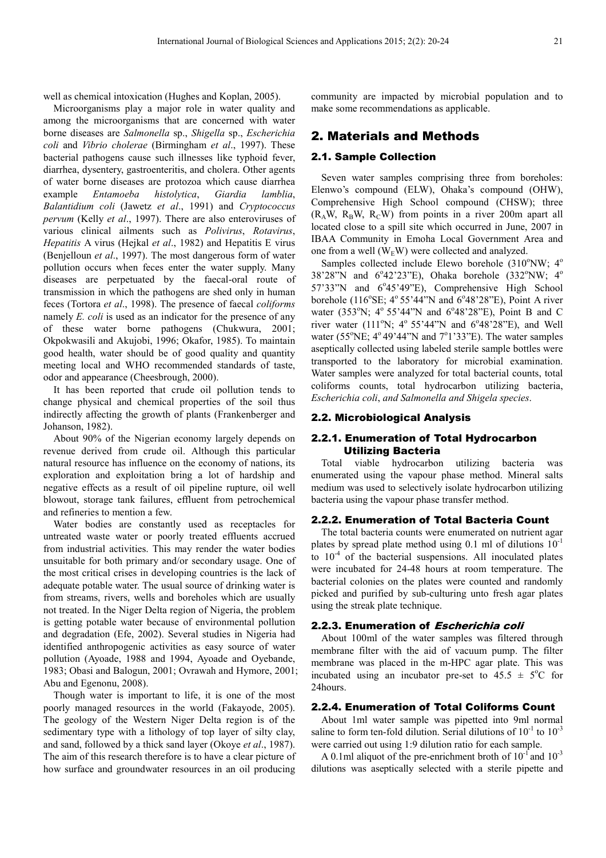well as chemical intoxication (Hughes and Koplan, 2005).

Microorganisms play a major role in water quality and among the microorganisms that are concerned with water borne diseases are *Salmonella* sp., *Shigella* sp., *Escherichia coli* and *Vibrio cholerae* (Birmingham *et al*., 1997). These bacterial pathogens cause such illnesses like typhoid fever, diarrhea, dysentery, gastroenteritis, and cholera. Other agents of water borne diseases are protozoa which cause diarrhea example *Entamoeba histolytica*, *Giardia lamblia*, *Balantidium coli* (Jawetz *et al*., 1991) and *Cryptococcus pervum* (Kelly *et al*., 1997). There are also enteroviruses of various clinical ailments such as *Polivirus*, *Rotavirus*, *Hepatitis* A virus (Hejkal *et al*., 1982) and Hepatitis E virus (Benjelloun *et al*., 1997). The most dangerous form of water pollution occurs when feces enter the water supply. Many diseases are perpetuated by the faecal-oral route of transmission in which the pathogens are shed only in human feces (Tortora *et al*., 1998). The presence of faecal *coliforms*  namely *E. coli* is used as an indicator for the presence of any of these water borne pathogens (Chukwura, 2001; Okpokwasili and Akujobi, 1996; Okafor, 1985). To maintain good health, water should be of good quality and quantity meeting local and WHO recommended standards of taste, odor and appearance (Cheesbrough, 2000).

It has been reported that crude oil pollution tends to change physical and chemical properties of the soil thus indirectly affecting the growth of plants (Frankenberger and Johanson, 1982).

About 90% of the Nigerian economy largely depends on revenue derived from crude oil. Although this particular natural resource has influence on the economy of nations, its exploration and exploitation bring a lot of hardship and negative effects as a result of oil pipeline rupture, oil well blowout, storage tank failures, effluent from petrochemical and refineries to mention a few.

Water bodies are constantly used as receptacles for untreated waste water or poorly treated effluents accrued from industrial activities. This may render the water bodies unsuitable for both primary and/or secondary usage. One of the most critical crises in developing countries is the lack of adequate potable water. The usual source of drinking water is from streams, rivers, wells and boreholes which are usually not treated. In the Niger Delta region of Nigeria, the problem is getting potable water because of environmental pollution and degradation (Efe, 2002). Several studies in Nigeria had identified anthropogenic activities as easy source of water pollution (Ayoade, 1988 and 1994, Ayoade and Oyebande, 1983; Obasi and Balogun, 2001; Ovrawah and Hymore, 2001; Abu and Egenonu, 2008).

Though water is important to life, it is one of the most poorly managed resources in the world (Fakayode, 2005). The geology of the Western Niger Delta region is of the sedimentary type with a lithology of top layer of silty clay, and sand, followed by a thick sand layer (Okoye *et al*., 1987). The aim of this research therefore is to have a clear picture of how surface and groundwater resources in an oil producing

community are impacted by microbial population and to make some recommendations as applicable.

### 2. Materials and Methods

#### 2.1. Sample Collection

Seven water samples comprising three from boreholes: Elenwo's compound (ELW), Ohaka's compound (OHW), Comprehensive High School compound (CHSW); three  $(R_A W, R_B W, R_C W)$  from points in a river 200m apart all located close to a spill site which occurred in June, 2007 in IBAA Community in Emoha Local Government Area and one from a well  $(W<sub>E</sub>W)$  were collected and analyzed.

Samples collected include Elewo borehole  $(310^{\circ}$ NW;  $4^{\circ}$ 38'28"N and  $6^{\circ}42'23''E$ ), Ohaka borehole (332°NW; 4° 57'33"N and 6°45'49"E), Comprehensive High School borehole ( $116^{\circ}$ SE;  $4^{\circ}$  55'44"N and  $6^{\circ}$ 48'28"E), Point A river water (353°N; 4° 55'44"N and 6°48'28"E), Point B and C river water (111°N;  $4^{\circ}$  55'44"N and 6°48'28"E), and Well water ( $55^{\circ}$ NE;  $4^{\circ}$ 49'44"N and  $7^{\circ}$ 1'33"E). The water samples aseptically collected using labeled sterile sample bottles were transported to the laboratory for microbial examination. Water samples were analyzed for total bacterial counts, total coliforms counts, total hydrocarbon utilizing bacteria, *Escherichia coli*, *and Salmonella and Shigela species*.

#### 2.2. Microbiological Analysis

#### 2.2.1. Enumeration of Total Hydrocarbon Utilizing Bacteria

Total viable hydrocarbon utilizing bacteria was enumerated using the vapour phase method. Mineral salts medium was used to selectively isolate hydrocarbon utilizing bacteria using the vapour phase transfer method.

#### 2.2.2. Enumeration of Total Bacteria Count

The total bacteria counts were enumerated on nutrient agar plates by spread plate method using 0.1 ml of dilutions  $10^{-1}$ to  $10^{-4}$  of the bacterial suspensions. All inoculated plates were incubated for 24-48 hours at room temperature. The bacterial colonies on the plates were counted and randomly picked and purified by sub-culturing unto fresh agar plates using the streak plate technique.

#### 2.2.3. Enumeration of Escherichia coli

About 100ml of the water samples was filtered through membrane filter with the aid of vacuum pump. The filter membrane was placed in the m-HPC agar plate. This was incubated using an incubator pre-set to  $45.5 \pm 5^{\circ}$ C for 24hours.

#### 2.2.4. Enumeration of Total Coliforms Count

About 1ml water sample was pipetted into 9ml normal saline to form ten-fold dilution. Serial dilutions of  $10^{-1}$  to  $10^{-3}$ were carried out using 1:9 dilution ratio for each sample.

A 0.1ml aliquot of the pre-enrichment broth of  $10^{-1}$  and  $10^{-3}$ dilutions was aseptically selected with a sterile pipette and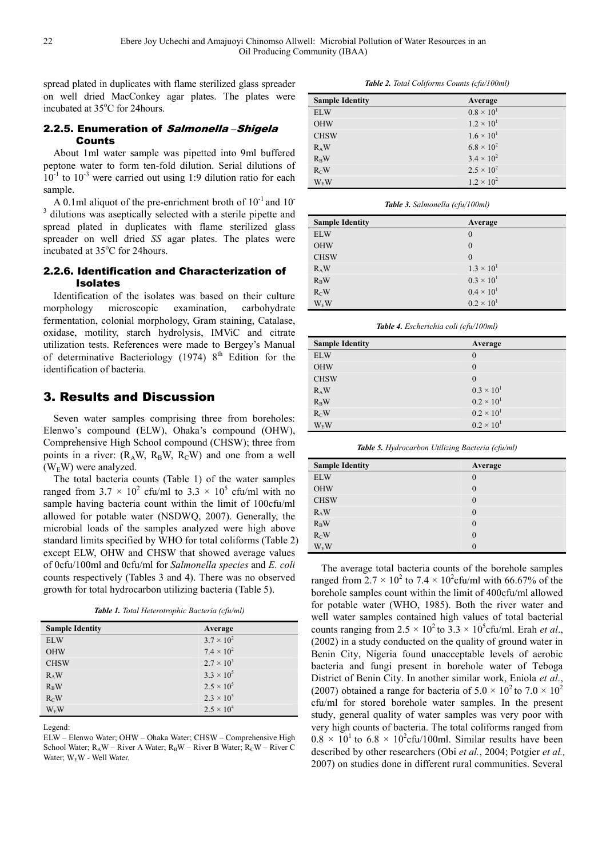spread plated in duplicates with flame sterilized glass spreader on well dried MacConkey agar plates. The plates were incubated at 35<sup>o</sup>C for 24 hours.

#### 2.2.5. Enumeration of Salmonella *–*Shigela Counts

About 1ml water sample was pipetted into 9ml buffered peptone water to form ten-fold dilution. Serial dilutions of  $10^{-1}$  to  $10^{-3}$  were carried out using 1:9 dilution ratio for each sample.

A 0.1ml aliquot of the pre-enrichment broth of  $10^{-1}$  and  $10^{-1}$ <sup>3</sup> dilutions was aseptically selected with a sterile pipette and spread plated in duplicates with flame sterilized glass spreader on well dried *SS* agar plates. The plates were incubated at 35°C for 24hours.

### 2.2.6. Identification and Characterization of Isolates

Identification of the isolates was based on their culture morphology microscopic examination, carbohydrate fermentation, colonial morphology, Gram staining, Catalase, oxidase, motility, starch hydrolysis, IMViC and citrate utilization tests. References were made to Bergey's Manual of determinative Bacteriology (1974)  $8<sup>th</sup>$  Edition for the identification of bacteria.

## 3. Results and Discussion

Seven water samples comprising three from boreholes: Elenwo's compound (ELW), Ohaka's compound (OHW), Comprehensive High School compound (CHSW); three from points in a river:  $(R_A W, R_B W, R_C W)$  and one from a well  $(W<sub>E</sub>W)$  were analyzed.

The total bacteria counts (Table 1) of the water samples ranged from  $3.7 \times 10^2$  cfu/ml to  $3.3 \times 10^5$  cfu/ml with no sample having bacteria count within the limit of 100cfu/ml allowed for potable water (NSDWQ, 2007). Generally, the microbial loads of the samples analyzed were high above standard limits specified by WHO for total coliforms (Table 2) except ELW, OHW and CHSW that showed average values of 0cfu/100ml and 0cfu/ml for *Salmonella species* and *E. coli*  counts respectively (Tables 3 and 4). There was no observed growth for total hydrocarbon utilizing bacteria (Table 5).

*Table 1. Total Heterotrophic Bacteria (cfu/ml)* 

| <b>Sample Identity</b> | Average             |
|------------------------|---------------------|
| <b>ELW</b>             | $3.7 \times 10^{2}$ |
| <b>OHW</b>             | $7.4 \times 10^{2}$ |
| <b>CHSW</b>            | $2.7 \times 10^{3}$ |
| $R_A W$                | $3.3 \times 10^{5}$ |
| $R_BW$                 | $2.5 \times 10^{5}$ |
| $R_C$ W                | $2.3 \times 10^{5}$ |
| $W_EW$                 | $2.5 \times 10^{4}$ |

Legend:

*Table 2. Total Coliforms Counts (cfu/100ml)* 

| <b>Sample Identity</b> | Average             |
|------------------------|---------------------|
| <b>ELW</b>             | $0.8 \times 10^{1}$ |
| <b>OHW</b>             | $1.2 \times 10^{1}$ |
| <b>CHSW</b>            | $1.6 \times 10^{1}$ |
| $R_A W$                | $6.8 \times 10^{2}$ |
| $R_B W$                | $3.4 \times 10^{2}$ |
| $R_C$ W                | $2.5 \times 10^{2}$ |
| <b>W<sub>F</sub>W</b>  | $1.2 \times 10^{2}$ |

*Table 3. Salmonella (cfu/100ml)* 

| <b>Sample Identity</b> | Average             |
|------------------------|---------------------|
| <b>ELW</b>             | $\theta$            |
| <b>OHW</b>             | $\mathbf{0}$        |
| <b>CHSW</b>            | $\theta$            |
| $R_A W$                | $1.3 \times 10^{1}$ |
| $R_BW$                 | $0.3 \times 10^{1}$ |
| R <sub>C</sub> W       | $0.4 \times 10^{1}$ |
| $W_E W$                | $0.2 \times 10^{1}$ |

*Table 4. Escherichia coli (cfu/100ml)* 

| <b>Sample Identity</b> | Average             |  |
|------------------------|---------------------|--|
| <b>ELW</b>             | $\theta$            |  |
| <b>OHW</b>             | $\mathbf{0}$        |  |
| <b>CHSW</b>            | $\mathbf{0}$        |  |
| $R_A W$                | $0.3 \times 10^{1}$ |  |
| $R_BW$                 | $0.2 \times 10^{1}$ |  |
| R <sub>C</sub> W       | $0.2 \times 10^{1}$ |  |
| $W_EW$                 | $0.2 \times 10^{1}$ |  |

*Table 5. Hydrocarbon Utilizing Bacteria (cfu/ml)* 

| <b>Sample Identity</b> | Average      |
|------------------------|--------------|
| <b>ELW</b>             | 0            |
| <b>OHW</b>             | $\theta$     |
| <b>CHSW</b>            | $\mathbf{0}$ |
| $R_A W$                | $\theta$     |
| $R_{\rm B}W$           | $\theta$     |
| $R_{C}W$               | $\theta$     |
| $W_EW$                 | 0            |

The average total bacteria counts of the borehole samples ranged from  $2.7 \times 10^2$  to  $7.4 \times 10^2$ cfu/ml with 66.67% of the borehole samples count within the limit of 400cfu/ml allowed for potable water (WHO, 1985). Both the river water and well water samples contained high values of total bacterial counts ranging from  $2.5 \times 10^2$  to  $3.3 \times 10^5$  cfu/ml. Erah *et al.*, (2002) in a study conducted on the quality of ground water in Benin City, Nigeria found unacceptable levels of aerobic bacteria and fungi present in borehole water of Teboga District of Benin City. In another similar work, Eniola *et al*., (2007) obtained a range for bacteria of  $5.0 \times 10^2$  to  $7.0 \times 10^2$ cfu/ml for stored borehole water samples. In the present study, general quality of water samples was very poor with very high counts of bacteria. The total coliforms ranged from  $0.8 \times 10^{1}$  to  $6.8 \times 10^{2}$ cfu/100ml. Similar results have been described by other researchers (Obi *et al.*, 2004; Potgier *et al.,* 2007) on studies done in different rural communities. Several

ELW – Elenwo Water; OHW – Ohaka Water; CHSW – Comprehensive High School Water;  $R_A W$  – River A Water;  $R_B W$  – River B Water;  $R_C W$  – River C Water; WEW - Well Water.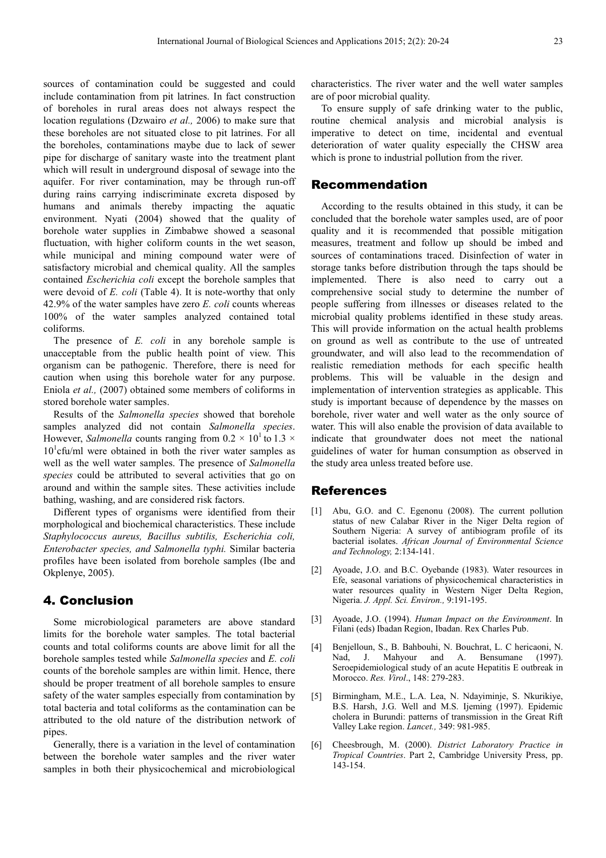sources of contamination could be suggested and could include contamination from pit latrines. In fact construction of boreholes in rural areas does not always respect the location regulations (Dzwairo *et al.,* 2006) to make sure that these boreholes are not situated close to pit latrines. For all the boreholes, contaminations maybe due to lack of sewer pipe for discharge of sanitary waste into the treatment plant which will result in underground disposal of sewage into the aquifer. For river contamination, may be through run-off during rains carrying indiscriminate excreta disposed by humans and animals thereby impacting the aquatic environment. Nyati (2004) showed that the quality of borehole water supplies in Zimbabwe showed a seasonal fluctuation, with higher coliform counts in the wet season, while municipal and mining compound water were of satisfactory microbial and chemical quality. All the samples contained *Escherichia coli* except the borehole samples that were devoid of *E. coli* (Table 4). It is note-worthy that only 42.9% of the water samples have zero *E. coli* counts whereas 100% of the water samples analyzed contained total coliforms.

The presence of *E. coli* in any borehole sample is unacceptable from the public health point of view. This organism can be pathogenic. Therefore, there is need for caution when using this borehole water for any purpose. Eniola *et al.,* (2007) obtained some members of coliforms in stored borehole water samples.

Results of the *Salmonella species* showed that borehole samples analyzed did not contain *Salmonella species*. However, *Salmonella* counts ranging from  $0.2 \times 10^{1}$  to  $1.3 \times$  $10<sup>1</sup>$ cfu/ml were obtained in both the river water samples as well as the well water samples. The presence of *Salmonella species* could be attributed to several activities that go on around and within the sample sites. These activities include bathing, washing, and are considered risk factors.

Different types of organisms were identified from their morphological and biochemical characteristics. These include *Staphylococcus aureus, Bacillus subtilis, Escherichia coli, Enterobacter species, and Salmonella typhi.* Similar bacteria profiles have been isolated from borehole samples (Ibe and Okplenye, 2005).

## 4. Conclusion

Some microbiological parameters are above standard limits for the borehole water samples. The total bacterial counts and total coliforms counts are above limit for all the borehole samples tested while *Salmonella species* and *E. coli* counts of the borehole samples are within limit. Hence, there should be proper treatment of all borehole samples to ensure safety of the water samples especially from contamination by total bacteria and total coliforms as the contamination can be attributed to the old nature of the distribution network of pipes.

Generally, there is a variation in the level of contamination between the borehole water samples and the river water samples in both their physicochemical and microbiological characteristics. The river water and the well water samples are of poor microbial quality.

To ensure supply of safe drinking water to the public, routine chemical analysis and microbial analysis is imperative to detect on time, incidental and eventual deterioration of water quality especially the CHSW area which is prone to industrial pollution from the river.

#### Recommendation

According to the results obtained in this study, it can be concluded that the borehole water samples used, are of poor quality and it is recommended that possible mitigation measures, treatment and follow up should be imbed and sources of contaminations traced. Disinfection of water in storage tanks before distribution through the taps should be implemented. There is also need to carry out a comprehensive social study to determine the number of people suffering from illnesses or diseases related to the microbial quality problems identified in these study areas. This will provide information on the actual health problems on ground as well as contribute to the use of untreated groundwater, and will also lead to the recommendation of realistic remediation methods for each specific health problems. This will be valuable in the design and implementation of intervention strategies as applicable. This study is important because of dependence by the masses on borehole, river water and well water as the only source of water. This will also enable the provision of data available to indicate that groundwater does not meet the national guidelines of water for human consumption as observed in the study area unless treated before use.

#### References

- [1] Abu, G.O. and C. Egenonu (2008). The current pollution status of new Calabar River in the Niger Delta region of Southern Nigeria: A survey of antibiogram profile of its bacterial isolates. *African Journal of Environmental Science and Technology,* 2:134-141.
- [2] Ayoade, J.O. and B.C. Oyebande (1983). Water resources in Efe, seasonal variations of physicochemical characteristics in water resources quality in Western Niger Delta Region, Nigeria. *J. Appl. Sci. Environ.,* 9:191-195.
- [3] Ayoade, J.O. (1994). *Human Impact on the Environment*. In Filani (eds) Ibadan Region, Ibadan. Rex Charles Pub.
- [4] Benjelloun, S., B. Bahbouhi, N. Bouchrat, L. C hericaoni, N. Nad, J. Mahyour and A. Bensumane (1997). Seroepidemiological study of an acute Hepatitis E outbreak in Morocco. *Res. Virol*., 148: 279-283.
- [5] Birmingham, M.E., L.A. Lea, N. Ndayiminje, S. Nkurikiye, B.S. Harsh, J.G. Well and M.S. Ijeming (1997). Epidemic cholera in Burundi: patterns of transmission in the Great Rift Valley Lake region. *Lancet.,* 349: 981-985.
- [6] Cheesbrough, M. (2000). *District Laboratory Practice in Tropical Countries*. Part 2, Cambridge University Press, pp. 143-154.